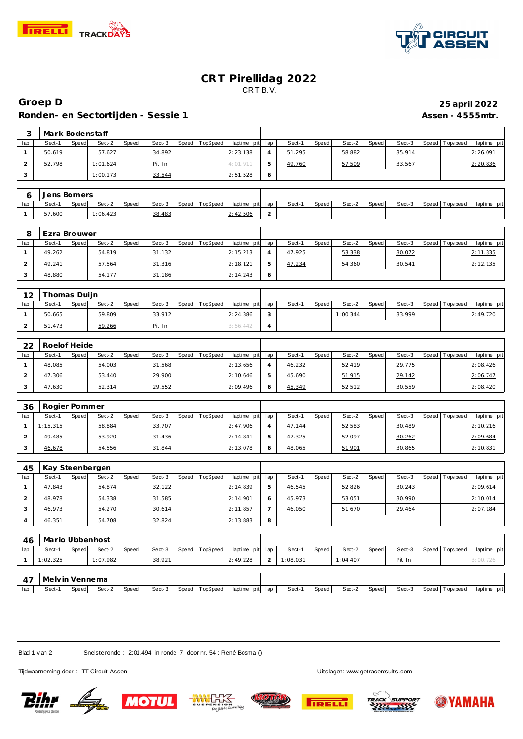



## **CRT Pirellidag 2022** CRT B.V.

## **Groep D 25 april 2022 Ronden- en Sectortijden - Sessie 1 Assen - 4555mtr.**

|     | Mark Bodenstaff |       |          |       |        |                  |             |     |        |       |        |       |        |                |             |
|-----|-----------------|-------|----------|-------|--------|------------------|-------------|-----|--------|-------|--------|-------|--------|----------------|-------------|
| lap | Sect-1          | Speed | Sect-2   | Speed | Sect-3 | Speed   TopSpeed | laptime pit | lap | Sect-1 | Speed | Sect-2 | Speed | Sect-3 | Speed Topspeed | laptime pit |
|     | 50.619          |       | 57.627   |       | 34.892 |                  | 2:23.138    |     | 51.295 |       | 58.882 |       | 35.914 |                | 2:26.091    |
|     | 52.798          |       | 1:01.624 |       | Pit In |                  | 4:01.911    |     | 49.760 |       | 57.509 |       | 33.567 |                | 2:20.836    |
| 3   |                 |       | 1:00.173 |       | 33.544 |                  | 2:51.528    | 6   |        |       |        |       |        |                |             |

|     | Jens Bomers |                    |          |              |        |       |          |                 |   |       |       |        |       |        |                 |             |
|-----|-------------|--------------------|----------|--------------|--------|-------|----------|-----------------|---|-------|-------|--------|-------|--------|-----------------|-------------|
| lap | Sect-1      | Speed <sup>1</sup> | Sect-2   | <b>Speed</b> | Sect-3 | Speed | TopSpeed | laptime pit lap |   | Sect- | Speed | Sect-2 | Speed | Sect-3 | Speed Tops peed | laptime pit |
|     | 57.600      |                    | 1:06.423 |              | 38.483 |       |          | :42.506         | - |       |       |        |       |        |                 |             |

|     | Ezra Brouwer |       |        |       |        |       |          |                 |         |        |       |        |       |        |           |            |             |
|-----|--------------|-------|--------|-------|--------|-------|----------|-----------------|---------|--------|-------|--------|-------|--------|-----------|------------|-------------|
| lap | Sect-1       | Speed | Sect-2 | Speed | Sect-3 | Speed | TopSpeed | laptime pit lap |         | Sect-1 | Speed | Sect-2 | Speed | Sect-3 | Speed   T | Tops pee d | laptime pit |
|     | 49.262       |       | 54.819 |       | 31.132 |       |          | 2:15.213        |         | 47.925 |       | 53.338 |       | 30.072 |           |            | 2:11.335    |
|     | 49.241       |       | 57.564 |       | 31.316 |       |          | 2:18.121        |         | 47.234 |       | 54.360 |       | 30.541 |           |            | 2:12.135    |
|     | 48.880       |       | 54.177 |       | 31.186 |       |          | 2:14.243        | $\circ$ |        |       |        |       |        |           |            |             |

| $1^{\circ}$ | Thomas Duijn    |                 |                 |          |                 |        |       |          |       |        |                   |             |
|-------------|-----------------|-----------------|-----------------|----------|-----------------|--------|-------|----------|-------|--------|-------------------|-------------|
| lap         | Sect-1<br>Speed | Sect-2<br>Speed | Sect-3<br>Speed | TopSpeed | laptime pit lap | Sect-1 | Speed | Sect-2   | Speed | Sect-3 | Speed   Tops peed | laptime pit |
|             | 50.665          | 59.809          | 33.912          |          | 2:24.386        |        |       | 1:00.344 |       | 33.999 |                   | 2:49.720    |
|             | 51.473          | 59.266          | Pit In          |          | 3:56.442        |        |       |          |       |        |                   |             |

| 22  | Roelof Heide |                          |                 |                                    |                 |                 |        |                                |
|-----|--------------|--------------------------|-----------------|------------------------------------|-----------------|-----------------|--------|--------------------------------|
| lap | Sect-1       | Sect-2<br>Speed<br>Speed | Sect-3<br>Speed | <b>TopSpeed</b><br>laptime pit lap | Sect-1<br>Speed | Sect-2<br>Speed | Sect-3 | Speed Tops peed<br>laptime pit |
|     | 48.085       | 54.003                   | 31.568          | 2:13.656                           | 46.232          | 52.419          | 29.775 | 2:08.426                       |
|     | 47.306       | 53.440                   | 29.900          | 2:10.646                           | 45.690          | 51.915          | 29.142 | 2:06.747                       |
|     | 47.630       | 52.314                   | 29.552          | 2:09.496                           | 45.349          | 52.512          | 30.559 | 2:08.420                       |

| 36  | Rogier Pommer |       |        |       |        |         |                 |                 |        |       |        |       |        |                 |             |
|-----|---------------|-------|--------|-------|--------|---------|-----------------|-----------------|--------|-------|--------|-------|--------|-----------------|-------------|
| lap | Sect-1        | Speed | Sect-2 | Speed | Sect-3 | Speed T | <b>TopSpeed</b> | laptime pit lap | Sect-1 | Speed | Sect-2 | Speed | Sect-3 | Speed Tops peed | laptime pit |
|     | 1:15.315      |       | 58.884 |       | 33.707 |         |                 | 2:47.906        | 47.144 |       | 52.583 |       | 30.489 |                 | 2:10.216    |
|     | 49.485        |       | 53.920 |       | 31.436 |         |                 | 2:14.841        | 47.325 |       | 52.097 |       | 30.262 |                 | 2:09.684    |
|     | 46.678        |       | 54.556 |       | 31.844 |         |                 | 2:13.078        | 48.065 |       | 51.901 |       | 30.865 |                 | 2:10.831    |

| 45  | Kay Steenbergen |                 |                 |                         |              |                |                 |        |                               |
|-----|-----------------|-----------------|-----------------|-------------------------|--------------|----------------|-----------------|--------|-------------------------------|
| lap | Sect-1<br>Speed | Sect-2<br>Speed | Sect-3<br>Speed | TopSpeed<br>laptime pit | lap          | Sect-<br>Speed | Sect-2<br>Speed | Sect-3 | Speed Topspeed<br>laptime pit |
|     | 47.843          | 54.874          | 32.122          | 2:14.839                | $\mathbf{p}$ | 46.545         | 52.826          | 30.243 | 2:09.614                      |
|     | 48.978          | 54.338          | 31.585          | 2:14.901                | 6            | 45.973         | 53.051          | 30.990 | 2:10.014                      |
|     | 46.973          | 54.270          | 30.614          | 2:11.857                |              | 46.050         | 51.670          | 29.464 | 2:07.184                      |
|     | 46.351          | 54.708          | 32.824          | 2:13.883                | 8            |                |                 |        |                               |

| 46    | Mario Ubbenhost |       |          |       |        |       |          |                 |          |              |          |       |        |                 |             |
|-------|-----------------|-------|----------|-------|--------|-------|----------|-----------------|----------|--------------|----------|-------|--------|-----------------|-------------|
| lap   | Sect-1          | Speed | Sect-2   | Speed | Sect-3 | Speed | TopSpeed | laptime pit lap | Sect-1   | Speed        | Sect-2   | Speed | Sect-3 | Speed Topspeed  | laptime pit |
|       | 1:02.325        |       | 1:07.982 |       | 38.921 |       |          | 2:49.228        | 1:08.031 |              | 1:04.407 |       | Pit In |                 | 3:00.726    |
|       |                 |       |          |       |        |       |          |                 |          |              |          |       |        |                 |             |
| $4^-$ | Melvin Vennema  |       |          |       |        |       |          |                 |          |              |          |       |        |                 |             |
| lap   | Sect-1          | Speed | Sect-2   | Speed | Sect-3 | Speed | TopSpeed | laptime pit lap | Sect-    | <b>Speed</b> | Sect-2   | Speed | Sect-3 | Speed Tops peed | laptime pit |

Blad 1 v an 2 Snelste ronde : 2:01.494 in ronde 7 door nr. 54 : René Bosma ()

Tijdwaarneming door : TT Circuit Assen Uitslagen:<www.getraceresults.com>